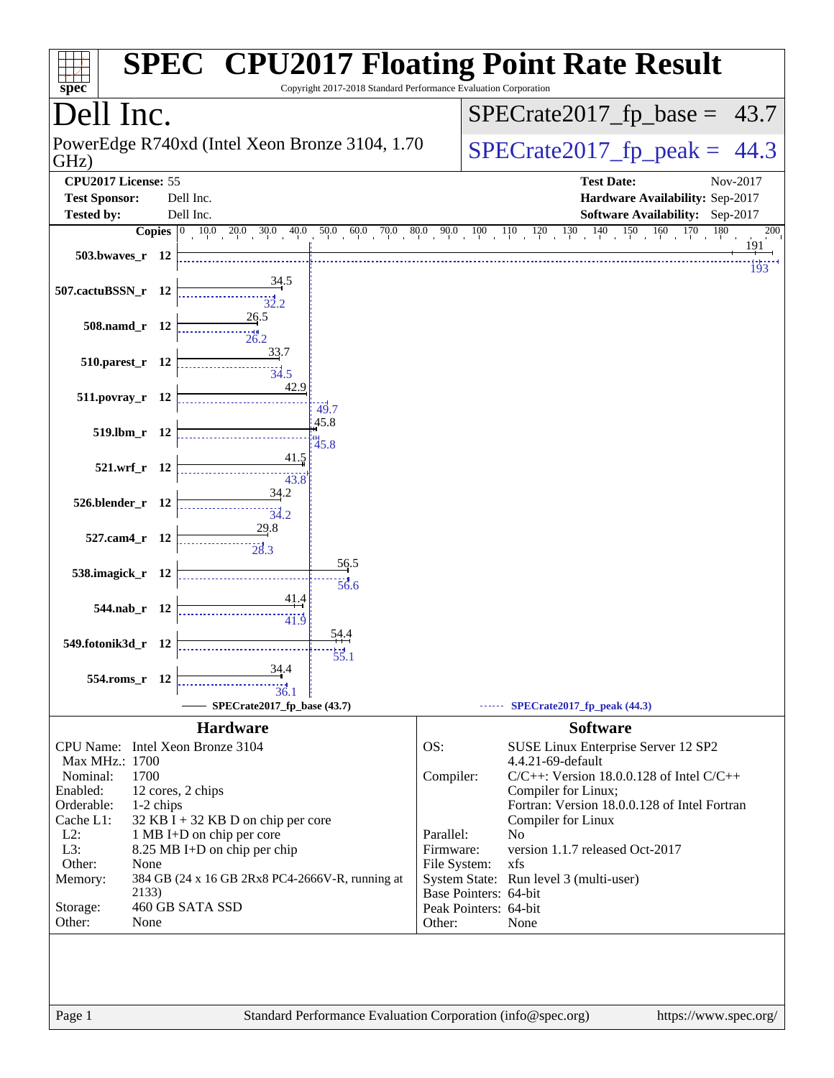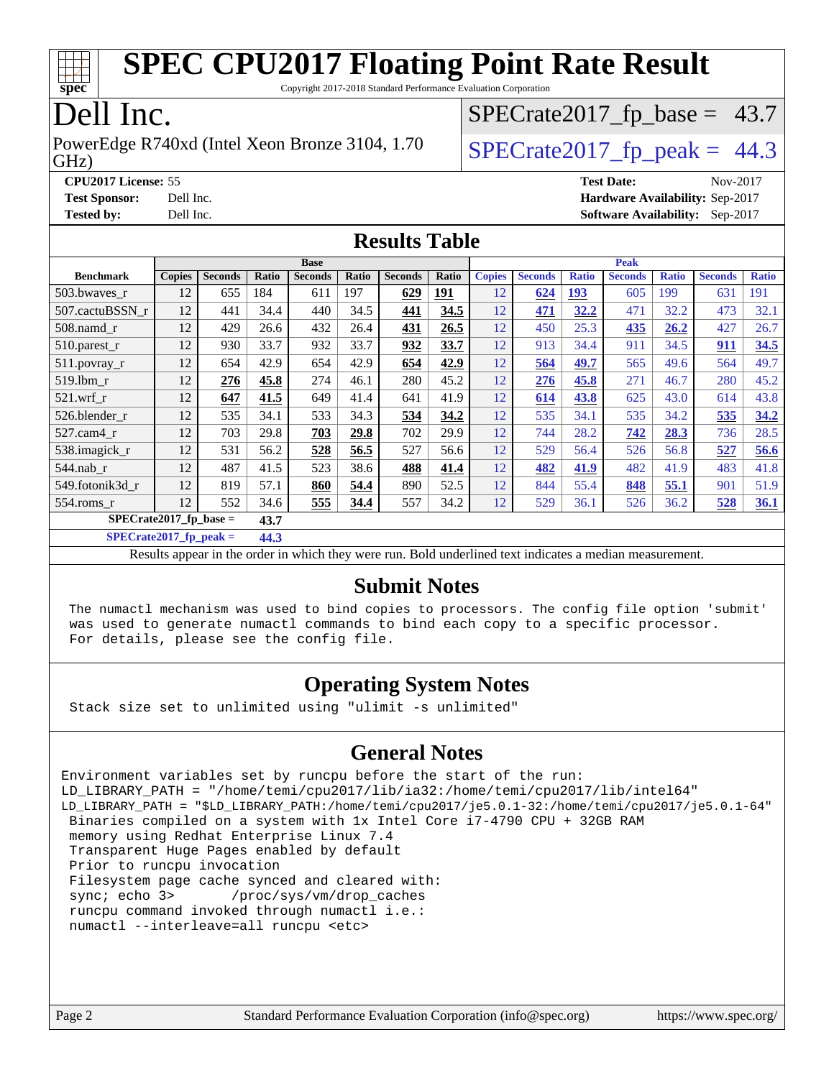

Copyright 2017-2018 Standard Performance Evaluation Corporation

### Dell Inc.

PowerEdge R740xd (Intel Xeon Bronze 3104, 1.70  $\big|$  SPECrate 2017 fp peak = 44.3

 $SPECTate2017_fp\_base = 43.7$ 

GHz)

**[CPU2017 License:](http://www.spec.org/auto/cpu2017/Docs/result-fields.html#CPU2017License)** 55 **[Test Date:](http://www.spec.org/auto/cpu2017/Docs/result-fields.html#TestDate)** Nov-2017

**[Test Sponsor:](http://www.spec.org/auto/cpu2017/Docs/result-fields.html#TestSponsor)** Dell Inc. **[Hardware Availability:](http://www.spec.org/auto/cpu2017/Docs/result-fields.html#HardwareAvailability)** Sep-2017 **[Tested by:](http://www.spec.org/auto/cpu2017/Docs/result-fields.html#Testedby)** Dell Inc. **[Software Availability:](http://www.spec.org/auto/cpu2017/Docs/result-fields.html#SoftwareAvailability)** Sep-2017

### **[Results Table](http://www.spec.org/auto/cpu2017/Docs/result-fields.html#ResultsTable)**

|                           |               |                |       | <b>Base</b>    |       |                |            |               |                |              | <b>Peak</b>    |              |                |              |
|---------------------------|---------------|----------------|-------|----------------|-------|----------------|------------|---------------|----------------|--------------|----------------|--------------|----------------|--------------|
| <b>Benchmark</b>          | <b>Copies</b> | <b>Seconds</b> | Ratio | <b>Seconds</b> | Ratio | <b>Seconds</b> | Ratio      | <b>Copies</b> | <b>Seconds</b> | <b>Ratio</b> | <b>Seconds</b> | <b>Ratio</b> | <b>Seconds</b> | <b>Ratio</b> |
| 503.bwayes r              | 12            | 655            | 184   | 611            | 197   | 629            | <u>191</u> | 12            | 624            | <u>193</u>   | 605            | 199          | 631            | 191          |
| 507.cactuBSSN r           | 12            | 441            | 34.4  | 440            | 34.5  | 441            | 34.5       | 12            | 471            | 32.2         | 471            | 32.2         | 473            | 32.1         |
| 508.namd r                | 12            | 429            | 26.6  | 432            | 26.4  | 431            | 26.5       | 12            | 450            | 25.3         | 435            | 26.2         | 427            | 26.7         |
| 510.parest_r              | 12            | 930            | 33.7  | 932            | 33.7  | 932            | 33.7       | 12            | 913            | 34.4         | 911            | 34.5         | 911            | 34.5         |
| 511.povray_r              | 12            | 654            | 42.9  | 654            | 42.9  | 654            | 42.9       | 12            | 564            | 49.7         | 565            | 49.6         | 564            | 49.7         |
| 519.1bm r                 | 12            | 276            | 45.8  | 274            | 46.1  | 280            | 45.2       | 12            | 276            | 45.8         | 271            | 46.7         | 280            | 45.2         |
| $521.wrf_r$               | 12            | 647            | 41.5  | 649            | 41.4  | 641            | 41.9       | 12            | 614            | 43.8         | 625            | 43.0         | 614            | 43.8         |
| 526.blender r             | 12            | 535            | 34.1  | 533            | 34.3  | 534            | 34.2       | 12            | 535            | 34.1         | 535            | 34.2         | 535            | 34.2         |
| 527.cam4 r                | 12            | 703            | 29.8  | 703            | 29.8  | 702            | 29.9       | 12            | 744            | 28.2         | 742            | 28.3         | 736            | 28.5         |
| 538.imagick_r             | 12            | 531            | 56.2  | 528            | 56.5  | 527            | 56.6       | 12            | 529            | 56.4         | 526            | 56.8         | 527            | 56.6         |
| $544$ .nab_r              | 12            | 487            | 41.5  | 523            | 38.6  | 488            | 41.4       | 12            | 482            | 41.9         | 482            | 41.9         | 483            | 41.8         |
| 549.fotonik3d r           | 12            | 819            | 57.1  | 860            | 54.4  | 890            | 52.5       | 12            | 844            | 55.4         | 848            | 55.1         | 901            | 51.9         |
| 554.roms r                | 12            | 552            | 34.6  | 555            | 34.4  | 557            | 34.2       | 12            | 529            | 36.1         | 526            | 36.2         | 528            | 36.1         |
| $SPECrate2017_fp\_base =$ |               |                | 43.7  |                |       |                |            |               |                |              |                |              |                |              |

**[SPECrate2017\\_fp\\_peak =](http://www.spec.org/auto/cpu2017/Docs/result-fields.html#SPECrate2017fppeak) 44.3**

Results appear in the [order in which they were run.](http://www.spec.org/auto/cpu2017/Docs/result-fields.html#RunOrder) Bold underlined text [indicates a median measurement.](http://www.spec.org/auto/cpu2017/Docs/result-fields.html#Median)

### **[Submit Notes](http://www.spec.org/auto/cpu2017/Docs/result-fields.html#SubmitNotes)**

 The numactl mechanism was used to bind copies to processors. The config file option 'submit' was used to generate numactl commands to bind each copy to a specific processor. For details, please see the config file.

### **[Operating System Notes](http://www.spec.org/auto/cpu2017/Docs/result-fields.html#OperatingSystemNotes)**

Stack size set to unlimited using "ulimit -s unlimited"

### **[General Notes](http://www.spec.org/auto/cpu2017/Docs/result-fields.html#GeneralNotes)**

Environment variables set by runcpu before the start of the run: LD\_LIBRARY\_PATH = "/home/temi/cpu2017/lib/ia32:/home/temi/cpu2017/lib/intel64" LD\_LIBRARY\_PATH = "\$LD\_LIBRARY\_PATH:/home/temi/cpu2017/je5.0.1-32:/home/temi/cpu2017/je5.0.1-64" Binaries compiled on a system with 1x Intel Core i7-4790 CPU + 32GB RAM memory using Redhat Enterprise Linux 7.4 Transparent Huge Pages enabled by default Prior to runcpu invocation Filesystem page cache synced and cleared with: sync; echo 3> /proc/sys/vm/drop\_caches runcpu command invoked through numactl i.e.: numactl --interleave=all runcpu <etc>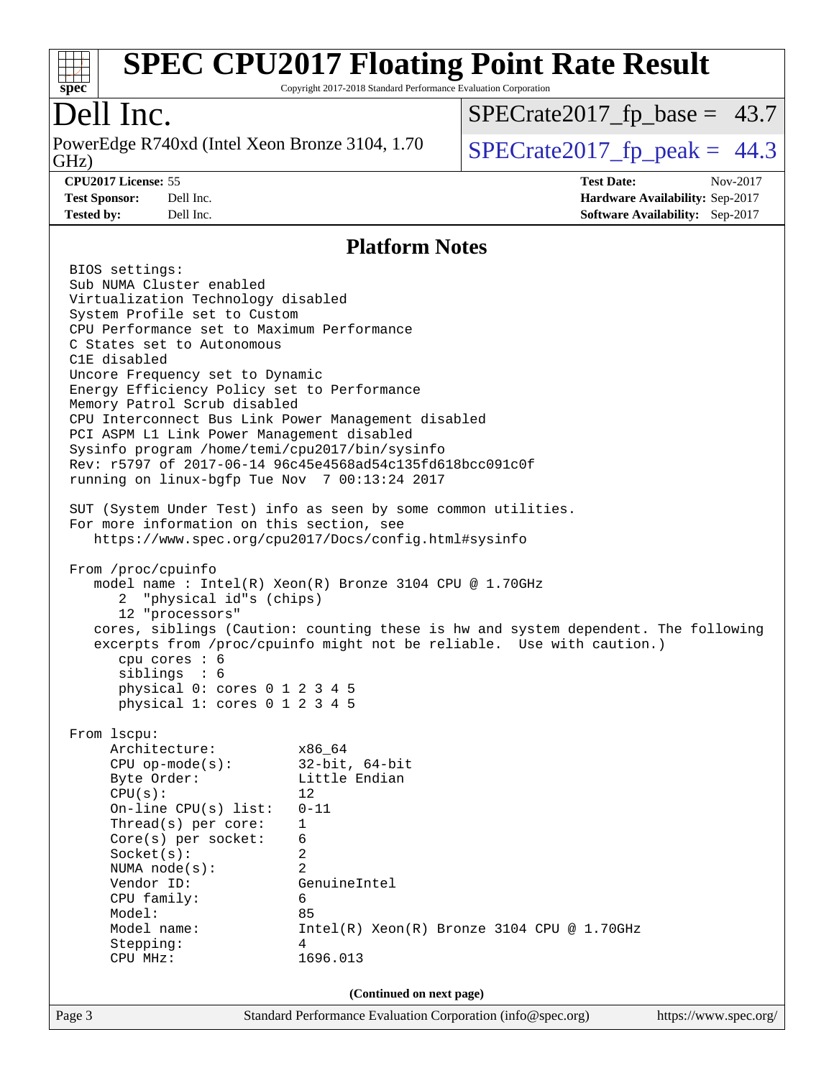

Copyright 2017-2018 Standard Performance Evaluation Corporation

### Dell Inc.

GHz) PowerEdge R740xd (Intel Xeon Bronze 3104, 1.70  $\big|$  SPECrate 2017\_fp\_peak = 44.3

 $SPECTate2017_fp\_base = 43.7$ 

**[Test Sponsor:](http://www.spec.org/auto/cpu2017/Docs/result-fields.html#TestSponsor)** Dell Inc. **[Hardware Availability:](http://www.spec.org/auto/cpu2017/Docs/result-fields.html#HardwareAvailability)** Sep-2017 **[Tested by:](http://www.spec.org/auto/cpu2017/Docs/result-fields.html#Testedby)** Dell Inc. **[Software Availability:](http://www.spec.org/auto/cpu2017/Docs/result-fields.html#SoftwareAvailability)** Sep-2017

**[CPU2017 License:](http://www.spec.org/auto/cpu2017/Docs/result-fields.html#CPU2017License)** 55 **[Test Date:](http://www.spec.org/auto/cpu2017/Docs/result-fields.html#TestDate)** Nov-2017

**[Platform Notes](http://www.spec.org/auto/cpu2017/Docs/result-fields.html#PlatformNotes)**

Page 3 Standard Performance Evaluation Corporation [\(info@spec.org\)](mailto:info@spec.org) <https://www.spec.org/> BIOS settings: Sub NUMA Cluster enabled Virtualization Technology disabled System Profile set to Custom CPU Performance set to Maximum Performance C States set to Autonomous C1E disabled Uncore Frequency set to Dynamic Energy Efficiency Policy set to Performance Memory Patrol Scrub disabled CPU Interconnect Bus Link Power Management disabled PCI ASPM L1 Link Power Management disabled Sysinfo program /home/temi/cpu2017/bin/sysinfo Rev: r5797 of 2017-06-14 96c45e4568ad54c135fd618bcc091c0f running on linux-bgfp Tue Nov 7 00:13:24 2017 SUT (System Under Test) info as seen by some common utilities. For more information on this section, see <https://www.spec.org/cpu2017/Docs/config.html#sysinfo> From /proc/cpuinfo model name : Intel(R) Xeon(R) Bronze 3104 CPU @ 1.70GHz 2 "physical id"s (chips) 12 "processors" cores, siblings (Caution: counting these is hw and system dependent. The following excerpts from /proc/cpuinfo might not be reliable. Use with caution.) cpu cores : 6 siblings : 6 physical 0: cores 0 1 2 3 4 5 physical 1: cores 0 1 2 3 4 5 From lscpu: Architecture: x86\_64 CPU op-mode(s): 32-bit, 64-bit Byte Order: Little Endian  $CPU(s):$  12 On-line CPU(s) list: 0-11 Thread(s) per core: 1 Core(s) per socket: 6 Socket(s): 2 NUMA node(s): 2 Vendor ID: GenuineIntel CPU family: 6 Model: 85 Model name:  $Intel(R)$  Xeon(R) Bronze 3104 CPU @ 1.70GHz Stepping: 4 CPU MHz: 1696.013 **(Continued on next page)**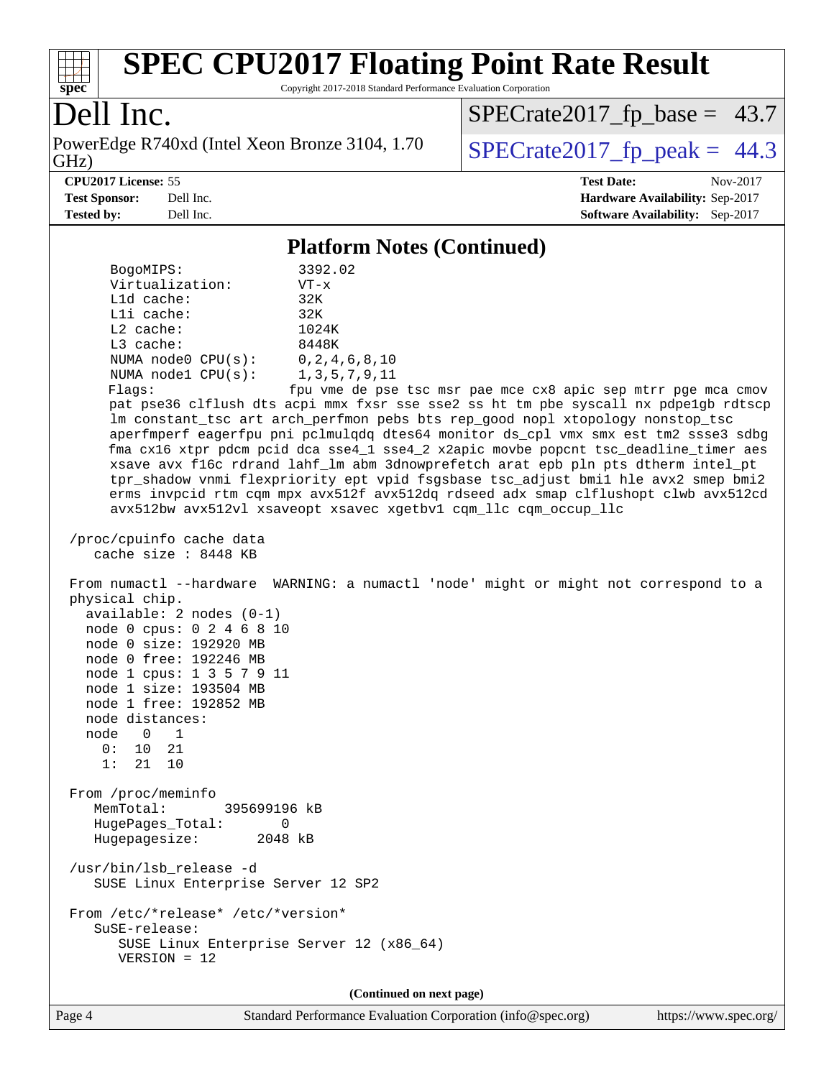

Copyright 2017-2018 Standard Performance Evaluation Corporation

### Dell Inc.

PowerEdge R740xd (Intel Xeon Bronze 3104, 1.70<br>GHz)

 $SPECrate2017_fp\_peak = 44.3$  $SPECrate2017_fp\_base = 43.7$ 

**[CPU2017 License:](http://www.spec.org/auto/cpu2017/Docs/result-fields.html#CPU2017License)** 55 **[Test Date:](http://www.spec.org/auto/cpu2017/Docs/result-fields.html#TestDate)** Nov-2017 **[Test Sponsor:](http://www.spec.org/auto/cpu2017/Docs/result-fields.html#TestSponsor)** Dell Inc. **[Hardware Availability:](http://www.spec.org/auto/cpu2017/Docs/result-fields.html#HardwareAvailability)** Sep-2017 **[Tested by:](http://www.spec.org/auto/cpu2017/Docs/result-fields.html#Testedby)** Dell Inc. **[Software Availability:](http://www.spec.org/auto/cpu2017/Docs/result-fields.html#SoftwareAvailability)** Sep-2017

### **[Platform Notes \(Continued\)](http://www.spec.org/auto/cpu2017/Docs/result-fields.html#PlatformNotes)**

| BogoMIPS:                                                                                                                                                                                                                                                             | 3392.02                                                                                                                                                                                                                                                                                                                                                                                                                                                                                                                                                                                                                                                                                                                                               |
|-----------------------------------------------------------------------------------------------------------------------------------------------------------------------------------------------------------------------------------------------------------------------|-------------------------------------------------------------------------------------------------------------------------------------------------------------------------------------------------------------------------------------------------------------------------------------------------------------------------------------------------------------------------------------------------------------------------------------------------------------------------------------------------------------------------------------------------------------------------------------------------------------------------------------------------------------------------------------------------------------------------------------------------------|
| Virtualization:                                                                                                                                                                                                                                                       | $VT - x$                                                                                                                                                                                                                                                                                                                                                                                                                                                                                                                                                                                                                                                                                                                                              |
| L1d cache:                                                                                                                                                                                                                                                            | 32K                                                                                                                                                                                                                                                                                                                                                                                                                                                                                                                                                                                                                                                                                                                                                   |
| Lli cache:                                                                                                                                                                                                                                                            | 32K                                                                                                                                                                                                                                                                                                                                                                                                                                                                                                                                                                                                                                                                                                                                                   |
| $L2$ cache:<br>L3 cache:                                                                                                                                                                                                                                              | 1024K<br>8448K                                                                                                                                                                                                                                                                                                                                                                                                                                                                                                                                                                                                                                                                                                                                        |
| NUMA $node0$ $CPU(s):$                                                                                                                                                                                                                                                | 0, 2, 4, 6, 8, 10                                                                                                                                                                                                                                                                                                                                                                                                                                                                                                                                                                                                                                                                                                                                     |
| NUMA nodel CPU(s): 1,3,5,7,9,11                                                                                                                                                                                                                                       |                                                                                                                                                                                                                                                                                                                                                                                                                                                                                                                                                                                                                                                                                                                                                       |
| Flags:                                                                                                                                                                                                                                                                | fpu vme de pse tsc msr pae mce cx8 apic sep mtrr pge mca cmov<br>pat pse36 clflush dts acpi mmx fxsr sse sse2 ss ht tm pbe syscall nx pdpelgb rdtscp<br>lm constant_tsc art arch_perfmon pebs bts rep_good nopl xtopology nonstop_tsc<br>aperfmperf eagerfpu pni pclmulqdq dtes64 monitor ds_cpl vmx smx est tm2 ssse3 sdbg<br>fma cx16 xtpr pdcm pcid dca sse4_1 sse4_2 x2apic movbe popcnt tsc_deadline_timer aes<br>xsave avx f16c rdrand lahf_lm abm 3dnowprefetch arat epb pln pts dtherm intel_pt<br>tpr_shadow vnmi flexpriority ept vpid fsgsbase tsc_adjust bmil hle avx2 smep bmi2<br>erms invpcid rtm cqm mpx avx512f avx512dq rdseed adx smap clflushopt clwb avx512cd<br>avx512bw avx512vl xsaveopt xsavec xgetbvl cqm_llc cqm_occup_llc |
| /proc/cpuinfo cache data<br>cache size : 8448 KB                                                                                                                                                                                                                      |                                                                                                                                                                                                                                                                                                                                                                                                                                                                                                                                                                                                                                                                                                                                                       |
| physical chip.<br>$available: 2 nodes (0-1)$<br>node 0 cpus: 0 2 4 6 8 10<br>node 0 size: 192920 MB<br>node 0 free: 192246 MB<br>node 1 cpus: 1 3 5 7 9 11<br>node 1 size: 193504 MB<br>node 1 free: 192852 MB<br>node distances:<br>node 0 1<br>0: 10 21<br>1: 21 10 | From numactl --hardware WARNING: a numactl 'node' might or might not correspond to a                                                                                                                                                                                                                                                                                                                                                                                                                                                                                                                                                                                                                                                                  |
| From /proc/meminfo<br>MemTotal:<br>395699196 kB<br>HugePages_Total:<br>0<br>Hugepagesize:<br>2048 kB                                                                                                                                                                  |                                                                                                                                                                                                                                                                                                                                                                                                                                                                                                                                                                                                                                                                                                                                                       |
| /usr/bin/lsb_release -d<br>SUSE Linux Enterprise Server 12 SP2                                                                                                                                                                                                        |                                                                                                                                                                                                                                                                                                                                                                                                                                                                                                                                                                                                                                                                                                                                                       |
| From /etc/*release* /etc/*version*<br>SuSE-release:<br>SUSE Linux Enterprise Server 12 (x86_64)<br>$VERSION = 12$                                                                                                                                                     |                                                                                                                                                                                                                                                                                                                                                                                                                                                                                                                                                                                                                                                                                                                                                       |
|                                                                                                                                                                                                                                                                       | (Continued on next page)                                                                                                                                                                                                                                                                                                                                                                                                                                                                                                                                                                                                                                                                                                                              |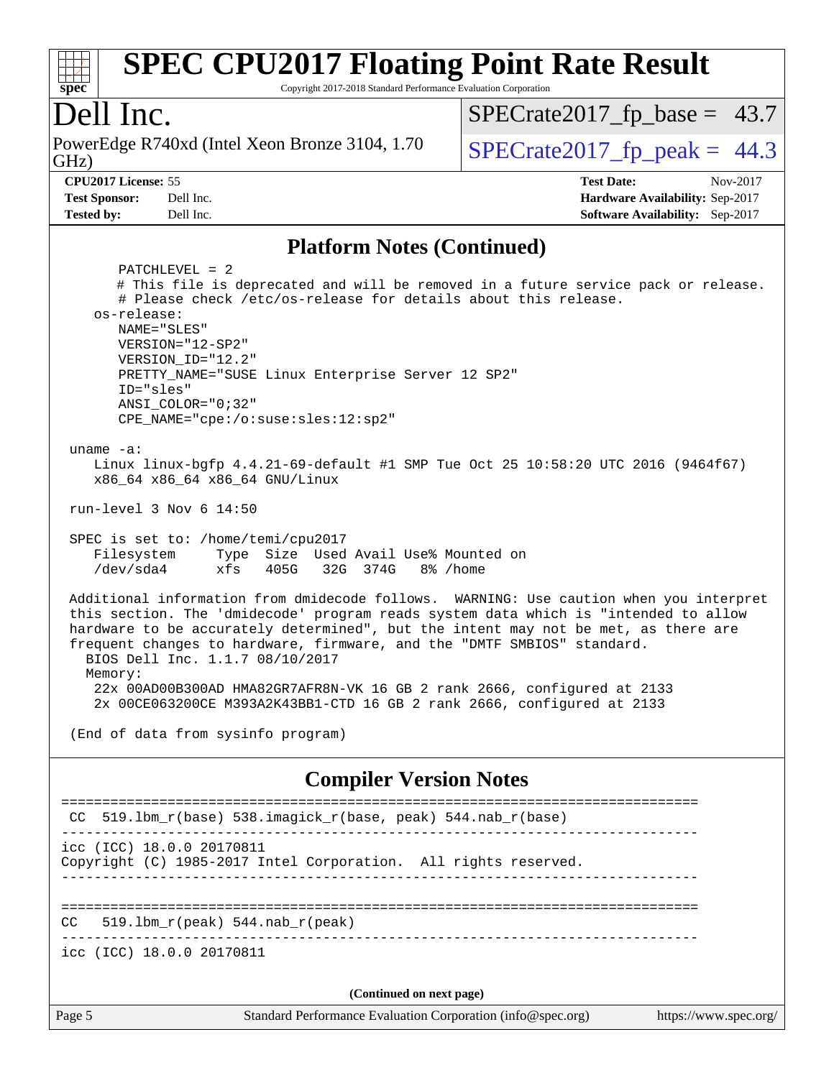

Copyright 2017-2018 Standard Performance Evaluation Corporation

### Dell Inc.

GHz) PowerEdge R740xd (Intel Xeon Bronze 3104, 1.70  $\big|$  SPECrate 2017 fp peak = 44.3

 $SPECTate2017_fp\_base = 43.7$ 

**[Tested by:](http://www.spec.org/auto/cpu2017/Docs/result-fields.html#Testedby)** Dell Inc. **[Software Availability:](http://www.spec.org/auto/cpu2017/Docs/result-fields.html#SoftwareAvailability)** Sep-2017

**[CPU2017 License:](http://www.spec.org/auto/cpu2017/Docs/result-fields.html#CPU2017License)** 55 **[Test Date:](http://www.spec.org/auto/cpu2017/Docs/result-fields.html#TestDate)** Nov-2017 **[Test Sponsor:](http://www.spec.org/auto/cpu2017/Docs/result-fields.html#TestSponsor)** Dell Inc. **[Hardware Availability:](http://www.spec.org/auto/cpu2017/Docs/result-fields.html#HardwareAvailability)** Sep-2017

### **[Platform Notes \(Continued\)](http://www.spec.org/auto/cpu2017/Docs/result-fields.html#PlatformNotes)**

Page 5 Standard Performance Evaluation Corporation [\(info@spec.org\)](mailto:info@spec.org) <https://www.spec.org/> PATCHLEVEL = 2 # This file is deprecated and will be removed in a future service pack or release. # Please check /etc/os-release for details about this release. os-release: NAME="SLES" VERSION="12-SP2" VERSION\_ID="12.2" PRETTY\_NAME="SUSE Linux Enterprise Server 12 SP2" ID="sles" ANSI\_COLOR="0;32" CPE\_NAME="cpe:/o:suse:sles:12:sp2" uname -a: Linux linux-bgfp 4.4.21-69-default #1 SMP Tue Oct 25 10:58:20 UTC 2016 (9464f67) x86\_64 x86\_64 x86\_64 GNU/Linux run-level 3 Nov 6 14:50 SPEC is set to: /home/temi/cpu2017 Filesystem Type Size Used Avail Use% Mounted on /dev/sda4 xfs 405G 32G 374G 8% /home Additional information from dmidecode follows. WARNING: Use caution when you interpret this section. The 'dmidecode' program reads system data which is "intended to allow hardware to be accurately determined", but the intent may not be met, as there are frequent changes to hardware, firmware, and the "DMTF SMBIOS" standard. BIOS Dell Inc. 1.1.7 08/10/2017 Memory: 22x 00AD00B300AD HMA82GR7AFR8N-VK 16 GB 2 rank 2666, configured at 2133 2x 00CE063200CE M393A2K43BB1-CTD 16 GB 2 rank 2666, configured at 2133 (End of data from sysinfo program) **[Compiler Version Notes](http://www.spec.org/auto/cpu2017/Docs/result-fields.html#CompilerVersionNotes)** ============================================================================== CC 519.lbm\_r(base) 538.imagick\_r(base, peak) 544.nab\_r(base) ----------------------------------------------------------------------------- icc (ICC) 18.0.0 20170811 Copyright (C) 1985-2017 Intel Corporation. All rights reserved. ------------------------------------------------------------------------------ ==============================================================================  $CC = 519.1bm_r(peak) 544.nab_r(peak)$ ----------------------------------------------------------------------------- icc (ICC) 18.0.0 20170811 **(Continued on next page)**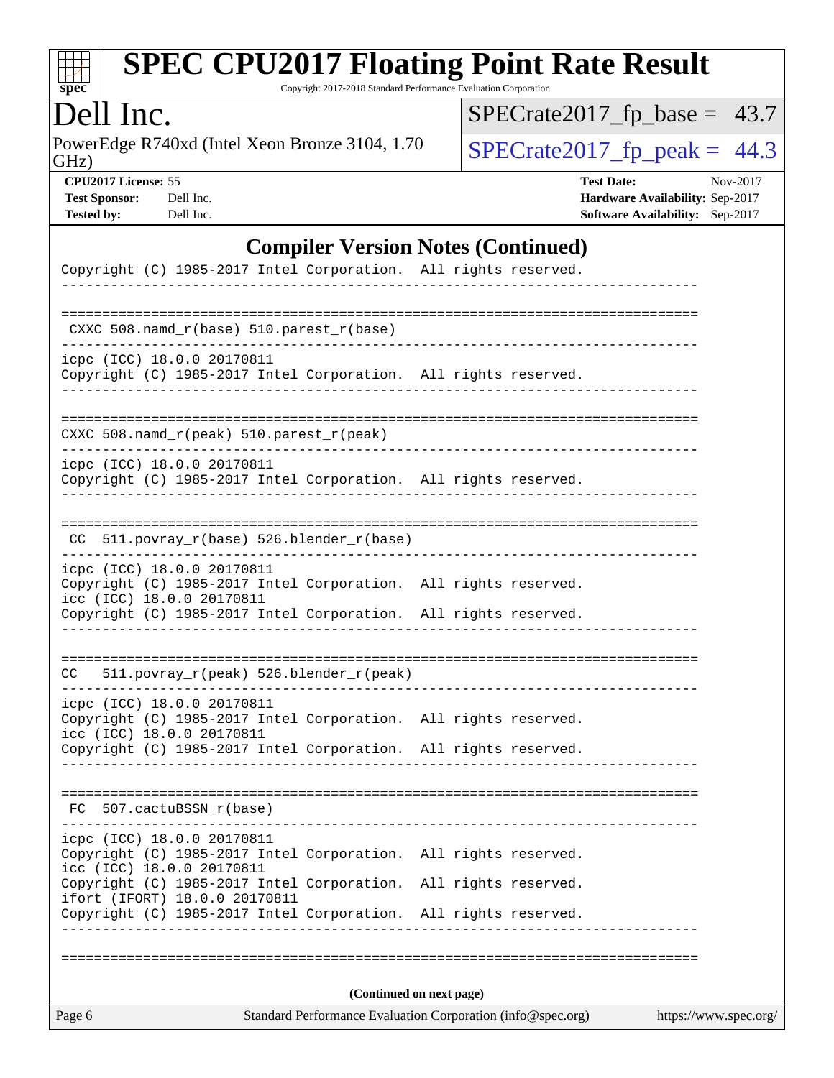

Copyright 2017-2018 Standard Performance Evaluation Corporation

## Dell Inc.

PowerEdge R740xd (Intel Xeon Bronze 3104, 1.70<br>GHz)

 $SPECTate2017_fp\_base = 43.7$ 

 $SPECTate 2017_fp\_peak = 44.3$ 

| <b>CPU2017 License: 55</b> |           | <b>Test Date:</b>                      | Nov-2017 |
|----------------------------|-----------|----------------------------------------|----------|
| <b>Test Sponsor:</b>       | Dell Inc. | <b>Hardware Availability: Sep-2017</b> |          |
| Tested by:                 | Dell Inc. | <b>Software Availability:</b> Sep-2017 |          |

### **[Compiler Version Notes \(Continued\)](http://www.spec.org/auto/cpu2017/Docs/result-fields.html#CompilerVersionNotes)**

| Page 6                                                  |                                                                                              | Standard Performance Evaluation Corporation (info@spec.org) |  |                      | https://www.spec.org/ |
|---------------------------------------------------------|----------------------------------------------------------------------------------------------|-------------------------------------------------------------|--|----------------------|-----------------------|
|                                                         |                                                                                              | (Continued on next page)                                    |  |                      |                       |
|                                                         |                                                                                              |                                                             |  |                      |                       |
|                                                         | Copyright (C) 1985-2017 Intel Corporation.                                                   |                                                             |  | All rights reserved. |                       |
|                                                         | Copyright (C) 1985-2017 Intel Corporation.<br>ifort (IFORT) 18.0.0 20170811                  |                                                             |  | All rights reserved. |                       |
| icpc (ICC) 18.0.0 20170811                              | Copyright (C) 1985-2017 Intel Corporation. All rights reserved.<br>icc (ICC) 18.0.0 20170811 |                                                             |  |                      |                       |
| FC 507.cactuBSSN_r(base)                                |                                                                                              |                                                             |  |                      |                       |
|                                                         | Copyright (C) 1985-2017 Intel Corporation. All rights reserved.                              |                                                             |  |                      |                       |
| icpc (ICC) 18.0.0 20170811<br>icc (ICC) 18.0.0 20170811 | Copyright (C) 1985-2017 Intel Corporation. All rights reserved.                              |                                                             |  |                      |                       |
|                                                         | CC 511.povray_r(peak) 526.blender_r(peak)                                                    |                                                             |  |                      |                       |
|                                                         | Copyright (C) 1985-2017 Intel Corporation. All rights reserved.                              |                                                             |  |                      |                       |
| icpc (ICC) 18.0.0 20170811<br>icc (ICC) 18.0.0 20170811 | Copyright (C) 1985-2017 Intel Corporation. All rights reserved.                              |                                                             |  |                      |                       |
|                                                         | CC 511.povray_r(base) 526.blender_r(base)                                                    |                                                             |  |                      |                       |
| icpc (ICC) 18.0.0 20170811                              | Copyright (C) 1985-2017 Intel Corporation. All rights reserved.                              | ----------------------------                                |  |                      |                       |
|                                                         | CXXC 508.namd_r(peak) 510.parest_r(peak)                                                     |                                                             |  |                      |                       |
| icpc (ICC) 18.0.0 20170811                              | Copyright (C) 1985-2017 Intel Corporation. All rights reserved.                              |                                                             |  |                      |                       |
|                                                         | CXXC 508.namd_r(base) 510.parest_r(base)                                                     |                                                             |  |                      |                       |
|                                                         |                                                                                              |                                                             |  |                      |                       |
|                                                         | Copyright (C) 1985-2017 Intel Corporation. All rights reserved.                              |                                                             |  |                      |                       |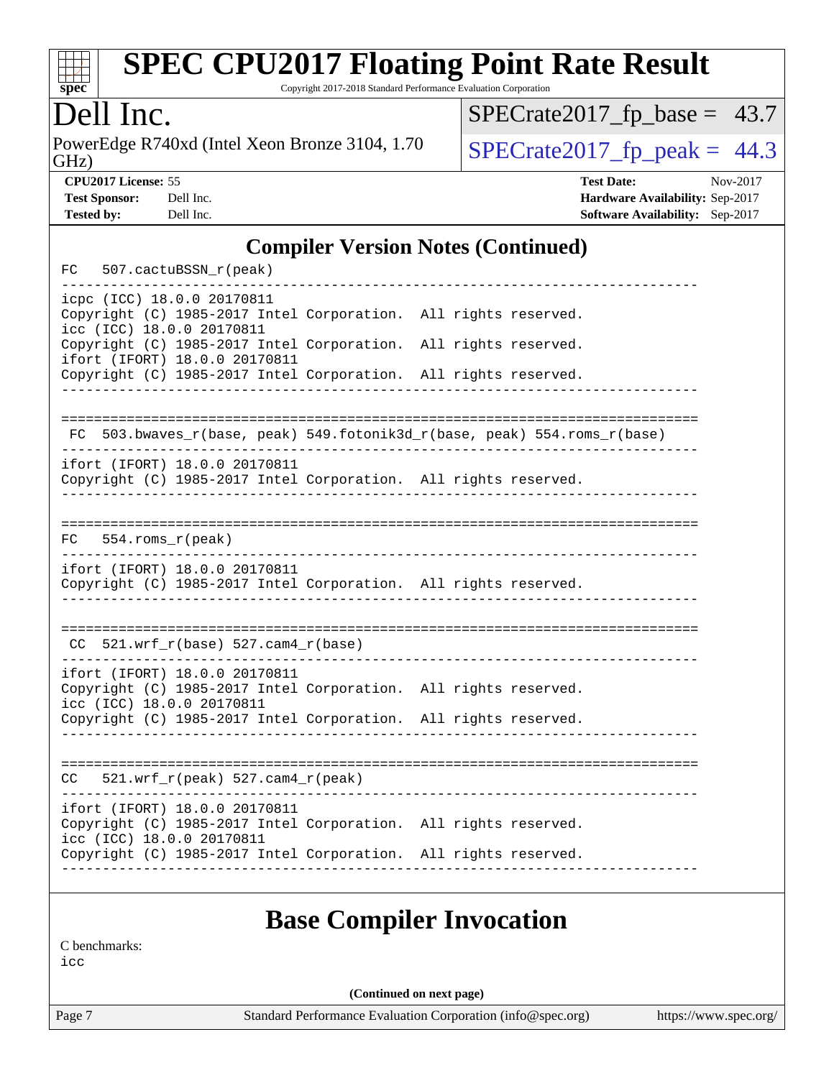

Copyright 2017-2018 Standard Performance Evaluation Corporation

### Dell Inc.

PowerEdge R740xd (Intel Xeon Bronze 3104, 1.70<br>GHz)

 $SPECrate2017_fp\_base = 43.7$ 

 $SPECrate2017_fp\_peak = 44.3$ 

**[CPU2017 License:](http://www.spec.org/auto/cpu2017/Docs/result-fields.html#CPU2017License)** 55 **[Test Date:](http://www.spec.org/auto/cpu2017/Docs/result-fields.html#TestDate)** Nov-2017 **[Test Sponsor:](http://www.spec.org/auto/cpu2017/Docs/result-fields.html#TestSponsor)** Dell Inc. **[Hardware Availability:](http://www.spec.org/auto/cpu2017/Docs/result-fields.html#HardwareAvailability)** Sep-2017 **[Tested by:](http://www.spec.org/auto/cpu2017/Docs/result-fields.html#Testedby)** Dell Inc. **[Software Availability:](http://www.spec.org/auto/cpu2017/Docs/result-fields.html#SoftwareAvailability)** Sep-2017

### **[Compiler Version Notes \(Continued\)](http://www.spec.org/auto/cpu2017/Docs/result-fields.html#CompilerVersionNotes)**

| FC |                  | 507.cactuBSSN_r(peak)                                      |                                                                 |  |                                                                       |
|----|------------------|------------------------------------------------------------|-----------------------------------------------------------------|--|-----------------------------------------------------------------------|
|    |                  | icpc (ICC) 18.0.0 20170811<br>icc (ICC) 18.0.0 20170811    | Copyright (C) 1985-2017 Intel Corporation. All rights reserved. |  |                                                                       |
|    |                  | ifort (IFORT) 18.0.0 20170811                              | Copyright (C) 1985-2017 Intel Corporation. All rights reserved. |  |                                                                       |
|    |                  |                                                            | Copyright (C) 1985-2017 Intel Corporation. All rights reserved. |  |                                                                       |
| FC |                  |                                                            |                                                                 |  | 503.bwaves_r(base, peak) 549.fotonik3d_r(base, peak) 554.roms_r(base) |
|    |                  | ifort (IFORT) 18.0.0 20170811                              | Copyright (C) 1985-2017 Intel Corporation. All rights reserved. |  |                                                                       |
| FC | 554.roms_r(peak) |                                                            |                                                                 |  |                                                                       |
|    |                  | ifort (IFORT) 18.0.0 20170811                              | Copyright (C) 1985-2017 Intel Corporation. All rights reserved. |  |                                                                       |
|    |                  | $CC$ 521.wrf_r(base) 527.cam4_r(base)                      |                                                                 |  |                                                                       |
|    |                  | ifort (IFORT) 18.0.0 20170811<br>icc (ICC) 18.0.0 20170811 | Copyright (C) 1985-2017 Intel Corporation. All rights reserved. |  |                                                                       |
|    |                  |                                                            | Copyright (C) 1985-2017 Intel Corporation. All rights reserved. |  |                                                                       |
|    |                  | $CC = 521.wrf_r(peak) 527.cam4_r(peak)$                    |                                                                 |  |                                                                       |
|    |                  | ifort (IFORT) 18.0.0 20170811                              | Copyright (C) 1985-2017 Intel Corporation. All rights reserved. |  |                                                                       |
|    |                  | icc (ICC) 18.0.0 20170811                                  | Copyright (C) 1985-2017 Intel Corporation. All rights reserved. |  |                                                                       |

### **[Base Compiler Invocation](http://www.spec.org/auto/cpu2017/Docs/result-fields.html#BaseCompilerInvocation)**

[C benchmarks:](http://www.spec.org/auto/cpu2017/Docs/result-fields.html#Cbenchmarks)

[icc](http://www.spec.org/cpu2017/results/res2017q4/cpu2017-20171208-01402.flags.html#user_CCbase_intel_icc_18.0_66fc1ee009f7361af1fbd72ca7dcefbb700085f36577c54f309893dd4ec40d12360134090235512931783d35fd58c0460139e722d5067c5574d8eaf2b3e37e92)

**(Continued on next page)**

Page 7 Standard Performance Evaluation Corporation [\(info@spec.org\)](mailto:info@spec.org) <https://www.spec.org/>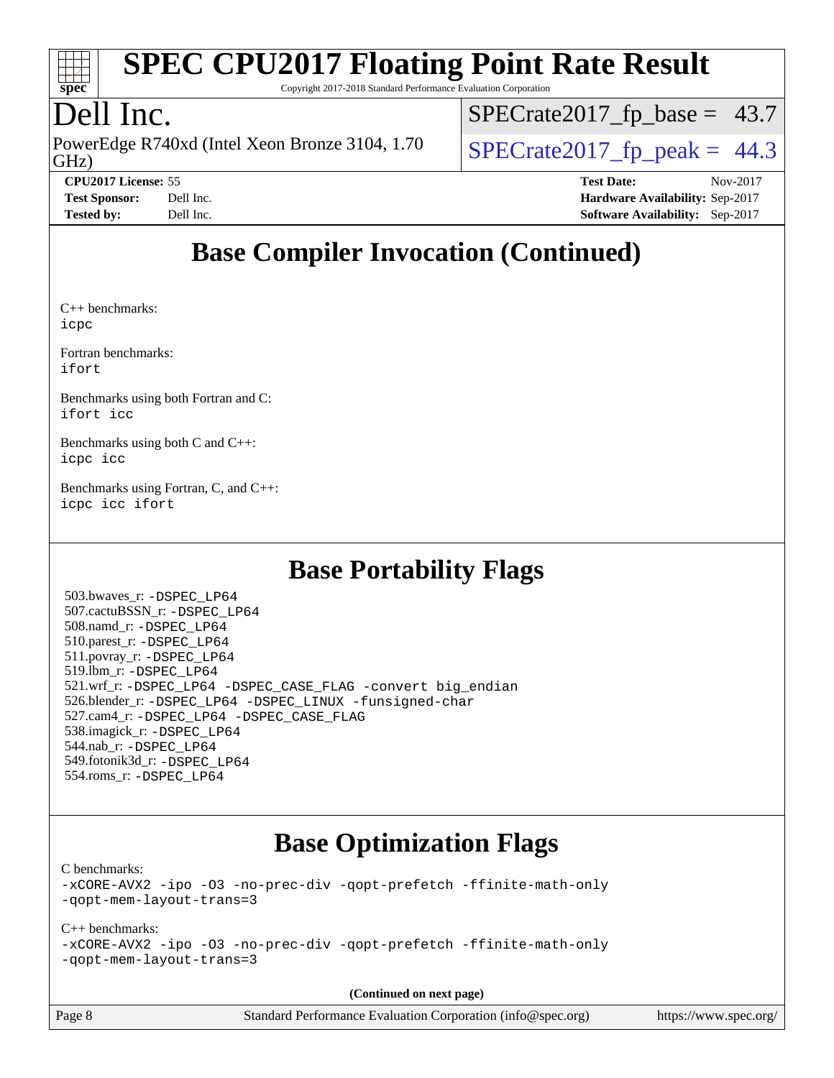

Copyright 2017-2018 Standard Performance Evaluation Corporation

## Dell Inc.

GHz) PowerEdge R740xd (Intel Xeon Bronze 3104, 1.70  $\big|$  SPECrate 2017 fp peak = 44.3

 $SPECTate2017_fp\_base = 43.7$ 

**[Tested by:](http://www.spec.org/auto/cpu2017/Docs/result-fields.html#Testedby)** Dell Inc. **[Software Availability:](http://www.spec.org/auto/cpu2017/Docs/result-fields.html#SoftwareAvailability)** Sep-2017

**[CPU2017 License:](http://www.spec.org/auto/cpu2017/Docs/result-fields.html#CPU2017License)** 55 **[Test Date:](http://www.spec.org/auto/cpu2017/Docs/result-fields.html#TestDate)** Nov-2017 **[Test Sponsor:](http://www.spec.org/auto/cpu2017/Docs/result-fields.html#TestSponsor)** Dell Inc. **[Hardware Availability:](http://www.spec.org/auto/cpu2017/Docs/result-fields.html#HardwareAvailability)** Sep-2017

## **[Base Compiler Invocation \(Continued\)](http://www.spec.org/auto/cpu2017/Docs/result-fields.html#BaseCompilerInvocation)**

[C++ benchmarks](http://www.spec.org/auto/cpu2017/Docs/result-fields.html#CXXbenchmarks): [icpc](http://www.spec.org/cpu2017/results/res2017q4/cpu2017-20171208-01402.flags.html#user_CXXbase_intel_icpc_18.0_c510b6838c7f56d33e37e94d029a35b4a7bccf4766a728ee175e80a419847e808290a9b78be685c44ab727ea267ec2f070ec5dc83b407c0218cded6866a35d07)

[Fortran benchmarks](http://www.spec.org/auto/cpu2017/Docs/result-fields.html#Fortranbenchmarks): [ifort](http://www.spec.org/cpu2017/results/res2017q4/cpu2017-20171208-01402.flags.html#user_FCbase_intel_ifort_18.0_8111460550e3ca792625aed983ce982f94888b8b503583aa7ba2b8303487b4d8a21a13e7191a45c5fd58ff318f48f9492884d4413fa793fd88dd292cad7027ca)

[Benchmarks using both Fortran and C:](http://www.spec.org/auto/cpu2017/Docs/result-fields.html#BenchmarksusingbothFortranandC) [ifort](http://www.spec.org/cpu2017/results/res2017q4/cpu2017-20171208-01402.flags.html#user_CC_FCbase_intel_ifort_18.0_8111460550e3ca792625aed983ce982f94888b8b503583aa7ba2b8303487b4d8a21a13e7191a45c5fd58ff318f48f9492884d4413fa793fd88dd292cad7027ca) [icc](http://www.spec.org/cpu2017/results/res2017q4/cpu2017-20171208-01402.flags.html#user_CC_FCbase_intel_icc_18.0_66fc1ee009f7361af1fbd72ca7dcefbb700085f36577c54f309893dd4ec40d12360134090235512931783d35fd58c0460139e722d5067c5574d8eaf2b3e37e92)

[Benchmarks using both C and C++](http://www.spec.org/auto/cpu2017/Docs/result-fields.html#BenchmarksusingbothCandCXX): [icpc](http://www.spec.org/cpu2017/results/res2017q4/cpu2017-20171208-01402.flags.html#user_CC_CXXbase_intel_icpc_18.0_c510b6838c7f56d33e37e94d029a35b4a7bccf4766a728ee175e80a419847e808290a9b78be685c44ab727ea267ec2f070ec5dc83b407c0218cded6866a35d07) [icc](http://www.spec.org/cpu2017/results/res2017q4/cpu2017-20171208-01402.flags.html#user_CC_CXXbase_intel_icc_18.0_66fc1ee009f7361af1fbd72ca7dcefbb700085f36577c54f309893dd4ec40d12360134090235512931783d35fd58c0460139e722d5067c5574d8eaf2b3e37e92)

[Benchmarks using Fortran, C, and C++:](http://www.spec.org/auto/cpu2017/Docs/result-fields.html#BenchmarksusingFortranCandCXX) [icpc](http://www.spec.org/cpu2017/results/res2017q4/cpu2017-20171208-01402.flags.html#user_CC_CXX_FCbase_intel_icpc_18.0_c510b6838c7f56d33e37e94d029a35b4a7bccf4766a728ee175e80a419847e808290a9b78be685c44ab727ea267ec2f070ec5dc83b407c0218cded6866a35d07) [icc](http://www.spec.org/cpu2017/results/res2017q4/cpu2017-20171208-01402.flags.html#user_CC_CXX_FCbase_intel_icc_18.0_66fc1ee009f7361af1fbd72ca7dcefbb700085f36577c54f309893dd4ec40d12360134090235512931783d35fd58c0460139e722d5067c5574d8eaf2b3e37e92) [ifort](http://www.spec.org/cpu2017/results/res2017q4/cpu2017-20171208-01402.flags.html#user_CC_CXX_FCbase_intel_ifort_18.0_8111460550e3ca792625aed983ce982f94888b8b503583aa7ba2b8303487b4d8a21a13e7191a45c5fd58ff318f48f9492884d4413fa793fd88dd292cad7027ca)

## **[Base Portability Flags](http://www.spec.org/auto/cpu2017/Docs/result-fields.html#BasePortabilityFlags)**

 503.bwaves\_r: [-DSPEC\\_LP64](http://www.spec.org/cpu2017/results/res2017q4/cpu2017-20171208-01402.flags.html#suite_basePORTABILITY503_bwaves_r_DSPEC_LP64) 507.cactuBSSN\_r: [-DSPEC\\_LP64](http://www.spec.org/cpu2017/results/res2017q4/cpu2017-20171208-01402.flags.html#suite_basePORTABILITY507_cactuBSSN_r_DSPEC_LP64) 508.namd\_r: [-DSPEC\\_LP64](http://www.spec.org/cpu2017/results/res2017q4/cpu2017-20171208-01402.flags.html#suite_basePORTABILITY508_namd_r_DSPEC_LP64) 510.parest\_r: [-DSPEC\\_LP64](http://www.spec.org/cpu2017/results/res2017q4/cpu2017-20171208-01402.flags.html#suite_basePORTABILITY510_parest_r_DSPEC_LP64) 511.povray\_r: [-DSPEC\\_LP64](http://www.spec.org/cpu2017/results/res2017q4/cpu2017-20171208-01402.flags.html#suite_basePORTABILITY511_povray_r_DSPEC_LP64) 519.lbm\_r: [-DSPEC\\_LP64](http://www.spec.org/cpu2017/results/res2017q4/cpu2017-20171208-01402.flags.html#suite_basePORTABILITY519_lbm_r_DSPEC_LP64) 521.wrf\_r: [-DSPEC\\_LP64](http://www.spec.org/cpu2017/results/res2017q4/cpu2017-20171208-01402.flags.html#suite_basePORTABILITY521_wrf_r_DSPEC_LP64) [-DSPEC\\_CASE\\_FLAG](http://www.spec.org/cpu2017/results/res2017q4/cpu2017-20171208-01402.flags.html#b521.wrf_r_baseCPORTABILITY_DSPEC_CASE_FLAG) [-convert big\\_endian](http://www.spec.org/cpu2017/results/res2017q4/cpu2017-20171208-01402.flags.html#user_baseFPORTABILITY521_wrf_r_convert_big_endian_c3194028bc08c63ac5d04de18c48ce6d347e4e562e8892b8bdbdc0214820426deb8554edfa529a3fb25a586e65a3d812c835984020483e7e73212c4d31a38223) 526.blender\_r: [-DSPEC\\_LP64](http://www.spec.org/cpu2017/results/res2017q4/cpu2017-20171208-01402.flags.html#suite_basePORTABILITY526_blender_r_DSPEC_LP64) [-DSPEC\\_LINUX](http://www.spec.org/cpu2017/results/res2017q4/cpu2017-20171208-01402.flags.html#b526.blender_r_baseCPORTABILITY_DSPEC_LINUX) [-funsigned-char](http://www.spec.org/cpu2017/results/res2017q4/cpu2017-20171208-01402.flags.html#user_baseCPORTABILITY526_blender_r_force_uchar_40c60f00ab013830e2dd6774aeded3ff59883ba5a1fc5fc14077f794d777847726e2a5858cbc7672e36e1b067e7e5c1d9a74f7176df07886a243d7cc18edfe67) 527.cam4\_r: [-DSPEC\\_LP64](http://www.spec.org/cpu2017/results/res2017q4/cpu2017-20171208-01402.flags.html#suite_basePORTABILITY527_cam4_r_DSPEC_LP64) [-DSPEC\\_CASE\\_FLAG](http://www.spec.org/cpu2017/results/res2017q4/cpu2017-20171208-01402.flags.html#b527.cam4_r_baseCPORTABILITY_DSPEC_CASE_FLAG) 538.imagick\_r: [-DSPEC\\_LP64](http://www.spec.org/cpu2017/results/res2017q4/cpu2017-20171208-01402.flags.html#suite_basePORTABILITY538_imagick_r_DSPEC_LP64) 544.nab\_r: [-DSPEC\\_LP64](http://www.spec.org/cpu2017/results/res2017q4/cpu2017-20171208-01402.flags.html#suite_basePORTABILITY544_nab_r_DSPEC_LP64) 549.fotonik3d\_r: [-DSPEC\\_LP64](http://www.spec.org/cpu2017/results/res2017q4/cpu2017-20171208-01402.flags.html#suite_basePORTABILITY549_fotonik3d_r_DSPEC_LP64) 554.roms\_r: [-DSPEC\\_LP64](http://www.spec.org/cpu2017/results/res2017q4/cpu2017-20171208-01402.flags.html#suite_basePORTABILITY554_roms_r_DSPEC_LP64)

### **[Base Optimization Flags](http://www.spec.org/auto/cpu2017/Docs/result-fields.html#BaseOptimizationFlags)**

[C benchmarks](http://www.spec.org/auto/cpu2017/Docs/result-fields.html#Cbenchmarks):

[-xCORE-AVX2](http://www.spec.org/cpu2017/results/res2017q4/cpu2017-20171208-01402.flags.html#user_CCbase_f-xCORE-AVX2) [-ipo](http://www.spec.org/cpu2017/results/res2017q4/cpu2017-20171208-01402.flags.html#user_CCbase_f-ipo) [-O3](http://www.spec.org/cpu2017/results/res2017q4/cpu2017-20171208-01402.flags.html#user_CCbase_f-O3) [-no-prec-div](http://www.spec.org/cpu2017/results/res2017q4/cpu2017-20171208-01402.flags.html#user_CCbase_f-no-prec-div) [-qopt-prefetch](http://www.spec.org/cpu2017/results/res2017q4/cpu2017-20171208-01402.flags.html#user_CCbase_f-qopt-prefetch) [-ffinite-math-only](http://www.spec.org/cpu2017/results/res2017q4/cpu2017-20171208-01402.flags.html#user_CCbase_f_finite_math_only_cb91587bd2077682c4b38af759c288ed7c732db004271a9512da14a4f8007909a5f1427ecbf1a0fb78ff2a814402c6114ac565ca162485bbcae155b5e4258871) [-qopt-mem-layout-trans=3](http://www.spec.org/cpu2017/results/res2017q4/cpu2017-20171208-01402.flags.html#user_CCbase_f-qopt-mem-layout-trans_de80db37974c74b1f0e20d883f0b675c88c3b01e9d123adea9b28688d64333345fb62bc4a798493513fdb68f60282f9a726aa07f478b2f7113531aecce732043)

### [C++ benchmarks:](http://www.spec.org/auto/cpu2017/Docs/result-fields.html#CXXbenchmarks)

[-xCORE-AVX2](http://www.spec.org/cpu2017/results/res2017q4/cpu2017-20171208-01402.flags.html#user_CXXbase_f-xCORE-AVX2) [-ipo](http://www.spec.org/cpu2017/results/res2017q4/cpu2017-20171208-01402.flags.html#user_CXXbase_f-ipo) [-O3](http://www.spec.org/cpu2017/results/res2017q4/cpu2017-20171208-01402.flags.html#user_CXXbase_f-O3) [-no-prec-div](http://www.spec.org/cpu2017/results/res2017q4/cpu2017-20171208-01402.flags.html#user_CXXbase_f-no-prec-div) [-qopt-prefetch](http://www.spec.org/cpu2017/results/res2017q4/cpu2017-20171208-01402.flags.html#user_CXXbase_f-qopt-prefetch) [-ffinite-math-only](http://www.spec.org/cpu2017/results/res2017q4/cpu2017-20171208-01402.flags.html#user_CXXbase_f_finite_math_only_cb91587bd2077682c4b38af759c288ed7c732db004271a9512da14a4f8007909a5f1427ecbf1a0fb78ff2a814402c6114ac565ca162485bbcae155b5e4258871) [-qopt-mem-layout-trans=3](http://www.spec.org/cpu2017/results/res2017q4/cpu2017-20171208-01402.flags.html#user_CXXbase_f-qopt-mem-layout-trans_de80db37974c74b1f0e20d883f0b675c88c3b01e9d123adea9b28688d64333345fb62bc4a798493513fdb68f60282f9a726aa07f478b2f7113531aecce732043)

**(Continued on next page)**

Page 8 Standard Performance Evaluation Corporation [\(info@spec.org\)](mailto:info@spec.org) <https://www.spec.org/>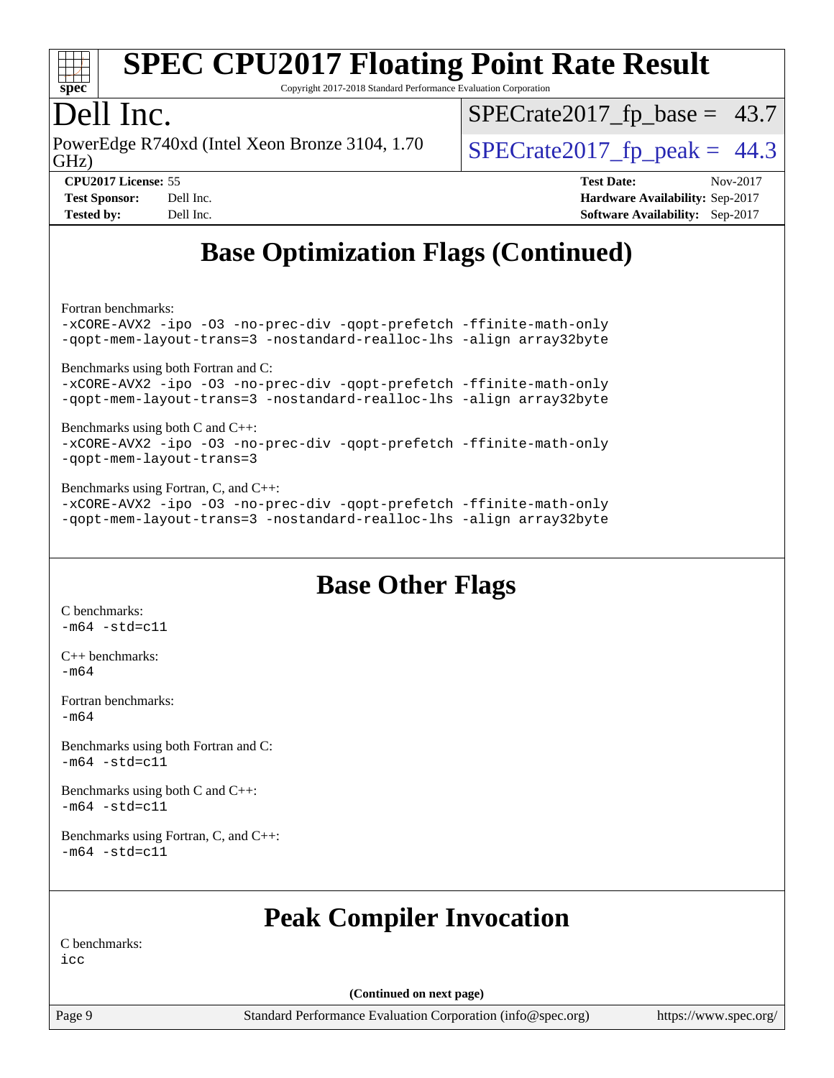

Copyright 2017-2018 Standard Performance Evaluation Corporation

### Dell Inc.

GHz) PowerEdge R740xd (Intel Xeon Bronze 3104, 1.70  $\big|$  SPECrate 2017 fp peak = 44.3

 $SPECTate2017_fp\_base = 43.7$ 

**[Tested by:](http://www.spec.org/auto/cpu2017/Docs/result-fields.html#Testedby)** Dell Inc. **[Software Availability:](http://www.spec.org/auto/cpu2017/Docs/result-fields.html#SoftwareAvailability)** Sep-2017

**[CPU2017 License:](http://www.spec.org/auto/cpu2017/Docs/result-fields.html#CPU2017License)** 55 **[Test Date:](http://www.spec.org/auto/cpu2017/Docs/result-fields.html#TestDate)** Nov-2017 **[Test Sponsor:](http://www.spec.org/auto/cpu2017/Docs/result-fields.html#TestSponsor)** Dell Inc. **[Hardware Availability:](http://www.spec.org/auto/cpu2017/Docs/result-fields.html#HardwareAvailability)** Sep-2017

## **[Base Optimization Flags \(Continued\)](http://www.spec.org/auto/cpu2017/Docs/result-fields.html#BaseOptimizationFlags)**

[Fortran benchmarks](http://www.spec.org/auto/cpu2017/Docs/result-fields.html#Fortranbenchmarks):

[-xCORE-AVX2](http://www.spec.org/cpu2017/results/res2017q4/cpu2017-20171208-01402.flags.html#user_FCbase_f-xCORE-AVX2) [-ipo](http://www.spec.org/cpu2017/results/res2017q4/cpu2017-20171208-01402.flags.html#user_FCbase_f-ipo) [-O3](http://www.spec.org/cpu2017/results/res2017q4/cpu2017-20171208-01402.flags.html#user_FCbase_f-O3) [-no-prec-div](http://www.spec.org/cpu2017/results/res2017q4/cpu2017-20171208-01402.flags.html#user_FCbase_f-no-prec-div) [-qopt-prefetch](http://www.spec.org/cpu2017/results/res2017q4/cpu2017-20171208-01402.flags.html#user_FCbase_f-qopt-prefetch) [-ffinite-math-only](http://www.spec.org/cpu2017/results/res2017q4/cpu2017-20171208-01402.flags.html#user_FCbase_f_finite_math_only_cb91587bd2077682c4b38af759c288ed7c732db004271a9512da14a4f8007909a5f1427ecbf1a0fb78ff2a814402c6114ac565ca162485bbcae155b5e4258871) [-qopt-mem-layout-trans=3](http://www.spec.org/cpu2017/results/res2017q4/cpu2017-20171208-01402.flags.html#user_FCbase_f-qopt-mem-layout-trans_de80db37974c74b1f0e20d883f0b675c88c3b01e9d123adea9b28688d64333345fb62bc4a798493513fdb68f60282f9a726aa07f478b2f7113531aecce732043) [-nostandard-realloc-lhs](http://www.spec.org/cpu2017/results/res2017q4/cpu2017-20171208-01402.flags.html#user_FCbase_f_2003_std_realloc_82b4557e90729c0f113870c07e44d33d6f5a304b4f63d4c15d2d0f1fab99f5daaed73bdb9275d9ae411527f28b936061aa8b9c8f2d63842963b95c9dd6426b8a) [-align array32byte](http://www.spec.org/cpu2017/results/res2017q4/cpu2017-20171208-01402.flags.html#user_FCbase_align_array32byte_b982fe038af199962ba9a80c053b8342c548c85b40b8e86eb3cc33dee0d7986a4af373ac2d51c3f7cf710a18d62fdce2948f201cd044323541f22fc0fffc51b6) [Benchmarks using both Fortran and C](http://www.spec.org/auto/cpu2017/Docs/result-fields.html#BenchmarksusingbothFortranandC): [-xCORE-AVX2](http://www.spec.org/cpu2017/results/res2017q4/cpu2017-20171208-01402.flags.html#user_CC_FCbase_f-xCORE-AVX2) [-ipo](http://www.spec.org/cpu2017/results/res2017q4/cpu2017-20171208-01402.flags.html#user_CC_FCbase_f-ipo) [-O3](http://www.spec.org/cpu2017/results/res2017q4/cpu2017-20171208-01402.flags.html#user_CC_FCbase_f-O3) [-no-prec-div](http://www.spec.org/cpu2017/results/res2017q4/cpu2017-20171208-01402.flags.html#user_CC_FCbase_f-no-prec-div) [-qopt-prefetch](http://www.spec.org/cpu2017/results/res2017q4/cpu2017-20171208-01402.flags.html#user_CC_FCbase_f-qopt-prefetch) [-ffinite-math-only](http://www.spec.org/cpu2017/results/res2017q4/cpu2017-20171208-01402.flags.html#user_CC_FCbase_f_finite_math_only_cb91587bd2077682c4b38af759c288ed7c732db004271a9512da14a4f8007909a5f1427ecbf1a0fb78ff2a814402c6114ac565ca162485bbcae155b5e4258871) [-qopt-mem-layout-trans=3](http://www.spec.org/cpu2017/results/res2017q4/cpu2017-20171208-01402.flags.html#user_CC_FCbase_f-qopt-mem-layout-trans_de80db37974c74b1f0e20d883f0b675c88c3b01e9d123adea9b28688d64333345fb62bc4a798493513fdb68f60282f9a726aa07f478b2f7113531aecce732043) [-nostandard-realloc-lhs](http://www.spec.org/cpu2017/results/res2017q4/cpu2017-20171208-01402.flags.html#user_CC_FCbase_f_2003_std_realloc_82b4557e90729c0f113870c07e44d33d6f5a304b4f63d4c15d2d0f1fab99f5daaed73bdb9275d9ae411527f28b936061aa8b9c8f2d63842963b95c9dd6426b8a) [-align array32byte](http://www.spec.org/cpu2017/results/res2017q4/cpu2017-20171208-01402.flags.html#user_CC_FCbase_align_array32byte_b982fe038af199962ba9a80c053b8342c548c85b40b8e86eb3cc33dee0d7986a4af373ac2d51c3f7cf710a18d62fdce2948f201cd044323541f22fc0fffc51b6) [Benchmarks using both C and C++](http://www.spec.org/auto/cpu2017/Docs/result-fields.html#BenchmarksusingbothCandCXX): [-xCORE-AVX2](http://www.spec.org/cpu2017/results/res2017q4/cpu2017-20171208-01402.flags.html#user_CC_CXXbase_f-xCORE-AVX2) [-ipo](http://www.spec.org/cpu2017/results/res2017q4/cpu2017-20171208-01402.flags.html#user_CC_CXXbase_f-ipo) [-O3](http://www.spec.org/cpu2017/results/res2017q4/cpu2017-20171208-01402.flags.html#user_CC_CXXbase_f-O3) [-no-prec-div](http://www.spec.org/cpu2017/results/res2017q4/cpu2017-20171208-01402.flags.html#user_CC_CXXbase_f-no-prec-div) [-qopt-prefetch](http://www.spec.org/cpu2017/results/res2017q4/cpu2017-20171208-01402.flags.html#user_CC_CXXbase_f-qopt-prefetch) [-ffinite-math-only](http://www.spec.org/cpu2017/results/res2017q4/cpu2017-20171208-01402.flags.html#user_CC_CXXbase_f_finite_math_only_cb91587bd2077682c4b38af759c288ed7c732db004271a9512da14a4f8007909a5f1427ecbf1a0fb78ff2a814402c6114ac565ca162485bbcae155b5e4258871) [-qopt-mem-layout-trans=3](http://www.spec.org/cpu2017/results/res2017q4/cpu2017-20171208-01402.flags.html#user_CC_CXXbase_f-qopt-mem-layout-trans_de80db37974c74b1f0e20d883f0b675c88c3b01e9d123adea9b28688d64333345fb62bc4a798493513fdb68f60282f9a726aa07f478b2f7113531aecce732043) [Benchmarks using Fortran, C, and C++:](http://www.spec.org/auto/cpu2017/Docs/result-fields.html#BenchmarksusingFortranCandCXX) [-xCORE-AVX2](http://www.spec.org/cpu2017/results/res2017q4/cpu2017-20171208-01402.flags.html#user_CC_CXX_FCbase_f-xCORE-AVX2) [-ipo](http://www.spec.org/cpu2017/results/res2017q4/cpu2017-20171208-01402.flags.html#user_CC_CXX_FCbase_f-ipo) [-O3](http://www.spec.org/cpu2017/results/res2017q4/cpu2017-20171208-01402.flags.html#user_CC_CXX_FCbase_f-O3) [-no-prec-div](http://www.spec.org/cpu2017/results/res2017q4/cpu2017-20171208-01402.flags.html#user_CC_CXX_FCbase_f-no-prec-div) [-qopt-prefetch](http://www.spec.org/cpu2017/results/res2017q4/cpu2017-20171208-01402.flags.html#user_CC_CXX_FCbase_f-qopt-prefetch) [-ffinite-math-only](http://www.spec.org/cpu2017/results/res2017q4/cpu2017-20171208-01402.flags.html#user_CC_CXX_FCbase_f_finite_math_only_cb91587bd2077682c4b38af759c288ed7c732db004271a9512da14a4f8007909a5f1427ecbf1a0fb78ff2a814402c6114ac565ca162485bbcae155b5e4258871)

[-qopt-mem-layout-trans=3](http://www.spec.org/cpu2017/results/res2017q4/cpu2017-20171208-01402.flags.html#user_CC_CXX_FCbase_f-qopt-mem-layout-trans_de80db37974c74b1f0e20d883f0b675c88c3b01e9d123adea9b28688d64333345fb62bc4a798493513fdb68f60282f9a726aa07f478b2f7113531aecce732043) [-nostandard-realloc-lhs](http://www.spec.org/cpu2017/results/res2017q4/cpu2017-20171208-01402.flags.html#user_CC_CXX_FCbase_f_2003_std_realloc_82b4557e90729c0f113870c07e44d33d6f5a304b4f63d4c15d2d0f1fab99f5daaed73bdb9275d9ae411527f28b936061aa8b9c8f2d63842963b95c9dd6426b8a) [-align array32byte](http://www.spec.org/cpu2017/results/res2017q4/cpu2017-20171208-01402.flags.html#user_CC_CXX_FCbase_align_array32byte_b982fe038af199962ba9a80c053b8342c548c85b40b8e86eb3cc33dee0d7986a4af373ac2d51c3f7cf710a18d62fdce2948f201cd044323541f22fc0fffc51b6)

### **[Base Other Flags](http://www.spec.org/auto/cpu2017/Docs/result-fields.html#BaseOtherFlags)**

[C benchmarks](http://www.spec.org/auto/cpu2017/Docs/result-fields.html#Cbenchmarks):  $-m64 - std = c11$  $-m64 - std = c11$ 

[C++ benchmarks:](http://www.spec.org/auto/cpu2017/Docs/result-fields.html#CXXbenchmarks) [-m64](http://www.spec.org/cpu2017/results/res2017q4/cpu2017-20171208-01402.flags.html#user_CXXbase_intel_intel64_18.0_af43caccfc8ded86e7699f2159af6efc7655f51387b94da716254467f3c01020a5059329e2569e4053f409e7c9202a7efc638f7a6d1ffb3f52dea4a3e31d82ab)

[Fortran benchmarks](http://www.spec.org/auto/cpu2017/Docs/result-fields.html#Fortranbenchmarks):  $-m64$ 

[Benchmarks using both Fortran and C](http://www.spec.org/auto/cpu2017/Docs/result-fields.html#BenchmarksusingbothFortranandC):  $-m64 - std = c11$  $-m64 - std = c11$ 

[Benchmarks using both C and C++](http://www.spec.org/auto/cpu2017/Docs/result-fields.html#BenchmarksusingbothCandCXX):  $-m64$   $-std=cl1$ 

[Benchmarks using Fortran, C, and C++:](http://www.spec.org/auto/cpu2017/Docs/result-fields.html#BenchmarksusingFortranCandCXX)  $-m64$   $-std=cl1$ 

### **[Peak Compiler Invocation](http://www.spec.org/auto/cpu2017/Docs/result-fields.html#PeakCompilerInvocation)**

[C benchmarks:](http://www.spec.org/auto/cpu2017/Docs/result-fields.html#Cbenchmarks) [icc](http://www.spec.org/cpu2017/results/res2017q4/cpu2017-20171208-01402.flags.html#user_CCpeak_intel_icc_18.0_66fc1ee009f7361af1fbd72ca7dcefbb700085f36577c54f309893dd4ec40d12360134090235512931783d35fd58c0460139e722d5067c5574d8eaf2b3e37e92)

**(Continued on next page)**

Page 9 Standard Performance Evaluation Corporation [\(info@spec.org\)](mailto:info@spec.org) <https://www.spec.org/>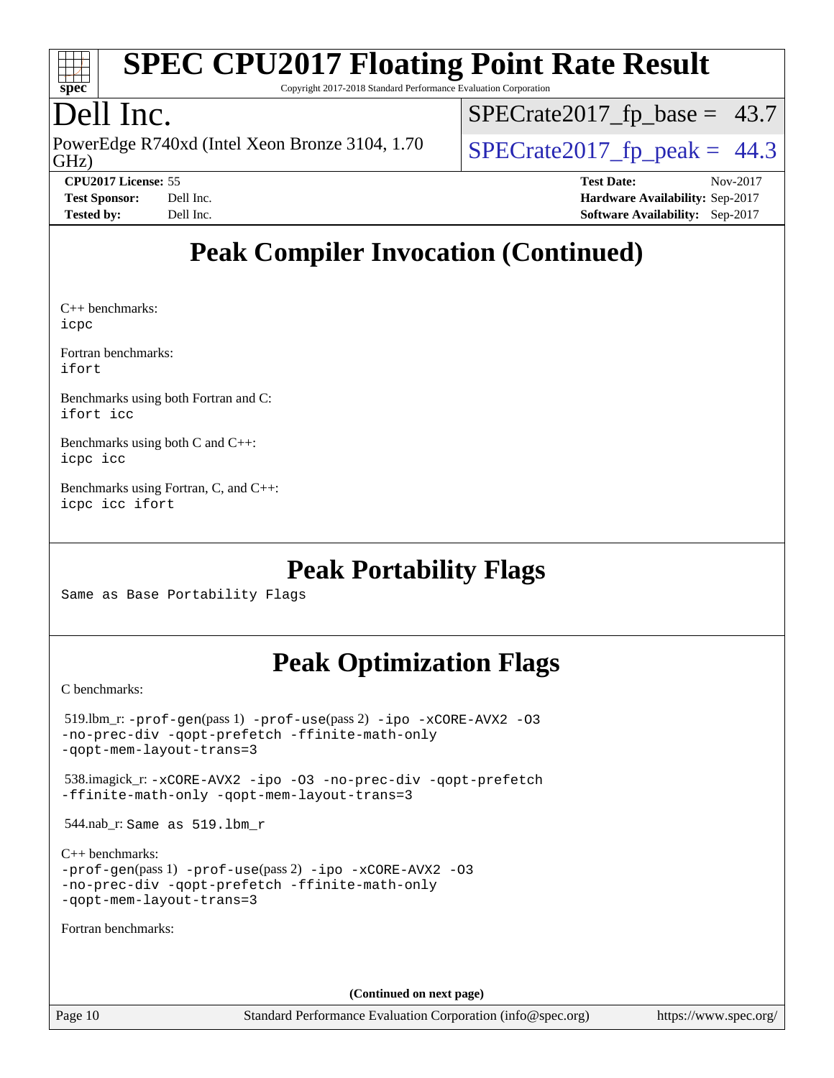

Copyright 2017-2018 Standard Performance Evaluation Corporation

## Dell Inc.

GHz) PowerEdge R740xd (Intel Xeon Bronze 3104, 1.70  $\big|$  SPECrate 2017 fp peak = 44.3

 $SPECTate2017_fp\_base = 43.7$ 

**[CPU2017 License:](http://www.spec.org/auto/cpu2017/Docs/result-fields.html#CPU2017License)** 55 **[Test Date:](http://www.spec.org/auto/cpu2017/Docs/result-fields.html#TestDate)** Nov-2017 **[Test Sponsor:](http://www.spec.org/auto/cpu2017/Docs/result-fields.html#TestSponsor)** Dell Inc. **[Hardware Availability:](http://www.spec.org/auto/cpu2017/Docs/result-fields.html#HardwareAvailability)** Sep-2017 **[Tested by:](http://www.spec.org/auto/cpu2017/Docs/result-fields.html#Testedby)** Dell Inc. **[Software Availability:](http://www.spec.org/auto/cpu2017/Docs/result-fields.html#SoftwareAvailability)** Sep-2017

## **[Peak Compiler Invocation \(Continued\)](http://www.spec.org/auto/cpu2017/Docs/result-fields.html#PeakCompilerInvocation)**

[C++ benchmarks](http://www.spec.org/auto/cpu2017/Docs/result-fields.html#CXXbenchmarks): [icpc](http://www.spec.org/cpu2017/results/res2017q4/cpu2017-20171208-01402.flags.html#user_CXXpeak_intel_icpc_18.0_c510b6838c7f56d33e37e94d029a35b4a7bccf4766a728ee175e80a419847e808290a9b78be685c44ab727ea267ec2f070ec5dc83b407c0218cded6866a35d07)

[Fortran benchmarks:](http://www.spec.org/auto/cpu2017/Docs/result-fields.html#Fortranbenchmarks) [ifort](http://www.spec.org/cpu2017/results/res2017q4/cpu2017-20171208-01402.flags.html#user_FCpeak_intel_ifort_18.0_8111460550e3ca792625aed983ce982f94888b8b503583aa7ba2b8303487b4d8a21a13e7191a45c5fd58ff318f48f9492884d4413fa793fd88dd292cad7027ca)

[Benchmarks using both Fortran and C:](http://www.spec.org/auto/cpu2017/Docs/result-fields.html#BenchmarksusingbothFortranandC) [ifort](http://www.spec.org/cpu2017/results/res2017q4/cpu2017-20171208-01402.flags.html#user_CC_FCpeak_intel_ifort_18.0_8111460550e3ca792625aed983ce982f94888b8b503583aa7ba2b8303487b4d8a21a13e7191a45c5fd58ff318f48f9492884d4413fa793fd88dd292cad7027ca) [icc](http://www.spec.org/cpu2017/results/res2017q4/cpu2017-20171208-01402.flags.html#user_CC_FCpeak_intel_icc_18.0_66fc1ee009f7361af1fbd72ca7dcefbb700085f36577c54f309893dd4ec40d12360134090235512931783d35fd58c0460139e722d5067c5574d8eaf2b3e37e92)

[Benchmarks using both C and C++](http://www.spec.org/auto/cpu2017/Docs/result-fields.html#BenchmarksusingbothCandCXX): [icpc](http://www.spec.org/cpu2017/results/res2017q4/cpu2017-20171208-01402.flags.html#user_CC_CXXpeak_intel_icpc_18.0_c510b6838c7f56d33e37e94d029a35b4a7bccf4766a728ee175e80a419847e808290a9b78be685c44ab727ea267ec2f070ec5dc83b407c0218cded6866a35d07) [icc](http://www.spec.org/cpu2017/results/res2017q4/cpu2017-20171208-01402.flags.html#user_CC_CXXpeak_intel_icc_18.0_66fc1ee009f7361af1fbd72ca7dcefbb700085f36577c54f309893dd4ec40d12360134090235512931783d35fd58c0460139e722d5067c5574d8eaf2b3e37e92)

[Benchmarks using Fortran, C, and C++](http://www.spec.org/auto/cpu2017/Docs/result-fields.html#BenchmarksusingFortranCandCXX): [icpc](http://www.spec.org/cpu2017/results/res2017q4/cpu2017-20171208-01402.flags.html#user_CC_CXX_FCpeak_intel_icpc_18.0_c510b6838c7f56d33e37e94d029a35b4a7bccf4766a728ee175e80a419847e808290a9b78be685c44ab727ea267ec2f070ec5dc83b407c0218cded6866a35d07) [icc](http://www.spec.org/cpu2017/results/res2017q4/cpu2017-20171208-01402.flags.html#user_CC_CXX_FCpeak_intel_icc_18.0_66fc1ee009f7361af1fbd72ca7dcefbb700085f36577c54f309893dd4ec40d12360134090235512931783d35fd58c0460139e722d5067c5574d8eaf2b3e37e92) [ifort](http://www.spec.org/cpu2017/results/res2017q4/cpu2017-20171208-01402.flags.html#user_CC_CXX_FCpeak_intel_ifort_18.0_8111460550e3ca792625aed983ce982f94888b8b503583aa7ba2b8303487b4d8a21a13e7191a45c5fd58ff318f48f9492884d4413fa793fd88dd292cad7027ca)

## **[Peak Portability Flags](http://www.spec.org/auto/cpu2017/Docs/result-fields.html#PeakPortabilityFlags)**

Same as Base Portability Flags

## **[Peak Optimization Flags](http://www.spec.org/auto/cpu2017/Docs/result-fields.html#PeakOptimizationFlags)**

[C benchmarks](http://www.spec.org/auto/cpu2017/Docs/result-fields.html#Cbenchmarks):

```
 519.lbm_r: -prof-gen(pass 1) -prof-use(pass 2) -ipo -xCORE-AVX2 -O3
-no-prec-div -qopt-prefetch -ffinite-math-only
-qopt-mem-layout-trans=3
```
 538.imagick\_r: [-xCORE-AVX2](http://www.spec.org/cpu2017/results/res2017q4/cpu2017-20171208-01402.flags.html#user_peakCOPTIMIZE538_imagick_r_f-xCORE-AVX2) [-ipo](http://www.spec.org/cpu2017/results/res2017q4/cpu2017-20171208-01402.flags.html#user_peakCOPTIMIZE538_imagick_r_f-ipo) [-O3](http://www.spec.org/cpu2017/results/res2017q4/cpu2017-20171208-01402.flags.html#user_peakCOPTIMIZE538_imagick_r_f-O3) [-no-prec-div](http://www.spec.org/cpu2017/results/res2017q4/cpu2017-20171208-01402.flags.html#user_peakCOPTIMIZE538_imagick_r_f-no-prec-div) [-qopt-prefetch](http://www.spec.org/cpu2017/results/res2017q4/cpu2017-20171208-01402.flags.html#user_peakCOPTIMIZE538_imagick_r_f-qopt-prefetch) [-ffinite-math-only](http://www.spec.org/cpu2017/results/res2017q4/cpu2017-20171208-01402.flags.html#user_peakCOPTIMIZE538_imagick_r_f_finite_math_only_cb91587bd2077682c4b38af759c288ed7c732db004271a9512da14a4f8007909a5f1427ecbf1a0fb78ff2a814402c6114ac565ca162485bbcae155b5e4258871) [-qopt-mem-layout-trans=3](http://www.spec.org/cpu2017/results/res2017q4/cpu2017-20171208-01402.flags.html#user_peakCOPTIMIZE538_imagick_r_f-qopt-mem-layout-trans_de80db37974c74b1f0e20d883f0b675c88c3b01e9d123adea9b28688d64333345fb62bc4a798493513fdb68f60282f9a726aa07f478b2f7113531aecce732043)

544.nab\_r: Same as 519.lbm\_r

```
C++ benchmarks: 
-prof-gen(pass 1) -prof-use(pass 2) -ipo -xCORE-AVX2 -O3
-no-prec-div -qopt-prefetch -ffinite-math-only
-qopt-mem-layout-trans=3
```
[Fortran benchmarks](http://www.spec.org/auto/cpu2017/Docs/result-fields.html#Fortranbenchmarks):

**(Continued on next page)**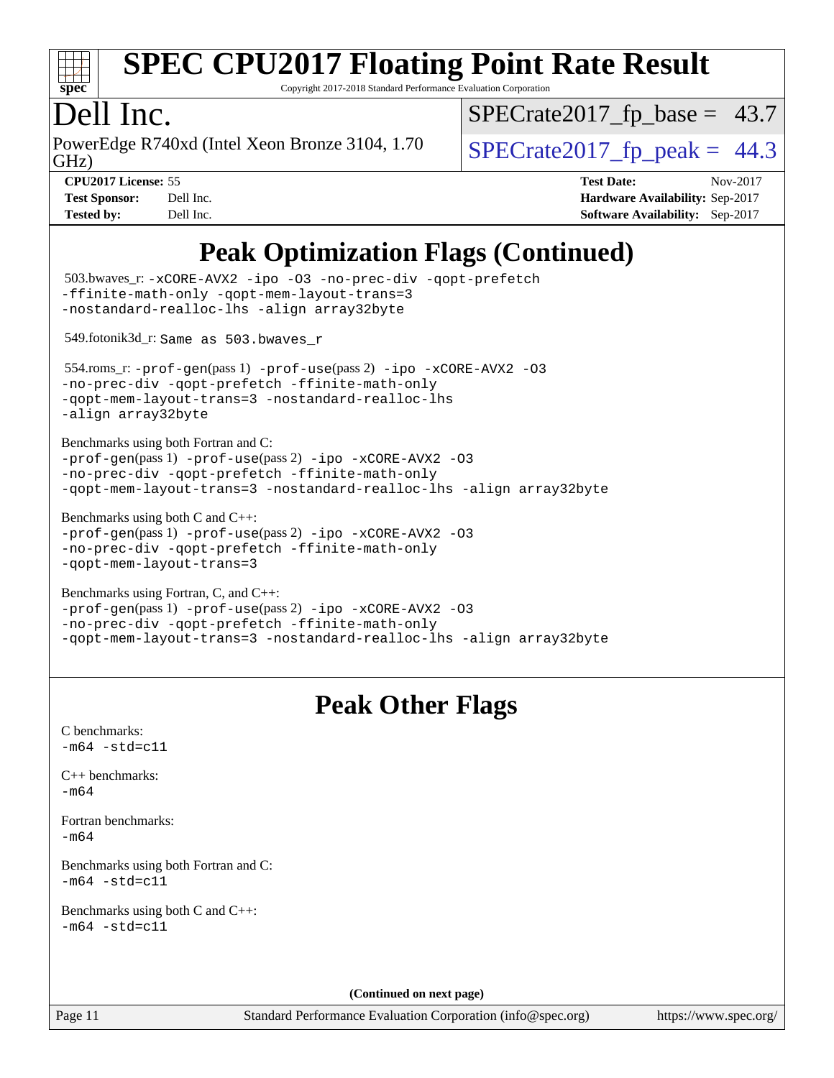

Copyright 2017-2018 Standard Performance Evaluation Corporation

## Dell Inc.

GHz) PowerEdge R740xd (Intel Xeon Bronze 3104, 1.70  $\big|$  SPECrate 2017 fp peak = 44.3

 $SPECTate2017_fp\_base = 43.7$ 

**[Test Sponsor:](http://www.spec.org/auto/cpu2017/Docs/result-fields.html#TestSponsor)** Dell Inc. **[Hardware Availability:](http://www.spec.org/auto/cpu2017/Docs/result-fields.html#HardwareAvailability)** Sep-2017 **[Tested by:](http://www.spec.org/auto/cpu2017/Docs/result-fields.html#Testedby)** Dell Inc. **[Software Availability:](http://www.spec.org/auto/cpu2017/Docs/result-fields.html#SoftwareAvailability)** Sep-2017

**[CPU2017 License:](http://www.spec.org/auto/cpu2017/Docs/result-fields.html#CPU2017License)** 55 **[Test Date:](http://www.spec.org/auto/cpu2017/Docs/result-fields.html#TestDate)** Nov-2017

## **[Peak Optimization Flags \(Continued\)](http://www.spec.org/auto/cpu2017/Docs/result-fields.html#PeakOptimizationFlags)**

```
(info@spec.org)https://www.spec.org/
  503.bwaves_r: -xCORE-AVX2 -ipo -O3 -no-prec-div -qopt-prefetch
-ffinite-math-only -qopt-mem-layout-trans=3
-nostandard-realloc-lhs -align array32byte
  549.fotonik3d_r: Same as 503.bwaves_r
  554.roms_r: -prof-gen(pass 1) -prof-use(pass 2) -ipo -xCORE-AVX2 -O3
-no-prec-div -qopt-prefetch -ffinite-math-only
-qopt-mem-layout-trans=3 -nostandard-realloc-lhs
-align array32byte
Benchmarks using both Fortran and C: 
-prof-gen(pass 1) -prof-use(pass 2) -ipo -xCORE-AVX2 -O3
-no-prec-div -qopt-prefetch -ffinite-math-only
-qopt-mem-layout-trans=3 -nostandard-realloc-lhs -align array32byte
Benchmarks using both C and C++: 
-prof-gen(pass 1) -prof-use(pass 2) -ipo -xCORE-AVX2 -O3
-no-prec-div -qopt-prefetch -ffinite-math-only
-qopt-mem-layout-trans=3
Benchmarks using Fortran, C, and C++: 
-prof-gen(pass 1) -prof-use(pass 2) -ipo -xCORE-AVX2 -O3
-no-prec-div -qopt-prefetch -ffinite-math-only
-qopt-mem-layout-trans=3 -nostandard-realloc-lhs -align array32byte
                                 Peak Other Flags
C benchmarks: 
-m64 - std= c11C++ benchmarks: 
-m64Fortran benchmarks: 
-m64
Benchmarks using both Fortran and C: 
-m64 - std= c11Benchmarks using both C and C++: 
-m64 - std= c11(Continued on next page)
```